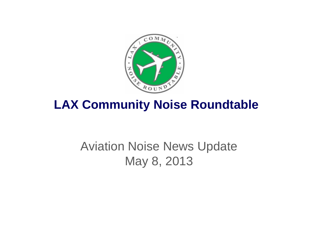

## **LAX Community Noise Roundtable**

## Aviation Noise News Update May 8, 2013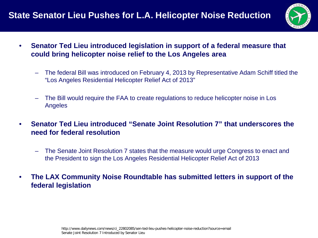

- **Senator Ted Lieu introduced legislation in support of a federal measure that could bring helicopter noise relief to the Los Angeles area**
	- The federal Bill was introduced on February 4, 2013 by Representative Adam Schiff titled the "Los Angeles Residential Helicopter Relief Act of 2013"
	- The Bill would require the FAA to create regulations to reduce helicopter noise in Los Angeles
- **Senator Ted Lieu introduced "Senate Joint Resolution 7" that underscores the need for federal resolution**
	- The Senate Joint Resolution 7 states that the measure would urge Congress to enact and the President to sign the Los Angeles Residential Helicopter Relief Act of 2013
- **The LAX Community Noise Roundtable has submitted letters in support of the federal legislation**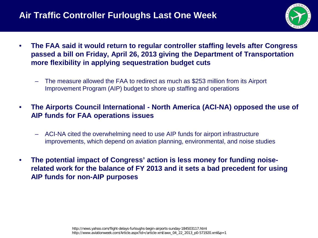## **Air Traffic Controller Furloughs Last One Week**



- **The FAA said it would return to regular controller staffing levels after Congress passed a bill on Friday, April 26, 2013 giving the Department of Transportation more flexibility in applying sequestration budget cuts**
	- The measure allowed the FAA to redirect as much as \$253 million from its Airport Improvement Program (AIP) budget to shore up staffing and operations
- **The Airports Council International - North America (ACI-NA) opposed the use of AIP funds for FAA operations issues**
	- ACI-NA cited the overwhelming need to use AIP funds for airport infrastructure improvements, which depend on aviation planning, environmental, and noise studies
- **The potential impact of Congress' action is less money for funding noiserelated work for the balance of FY 2013 and it sets a bad precedent for using AIP funds for non-AIP purposes**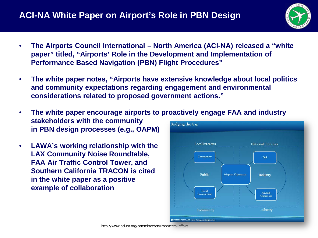

- **The Airports Council International – North America (ACI-NA) released a "white paper" titled, "Airports' Role in the Development and Implementation of Performance Based Navigation (PBN) Flight Procedures"**
- **The white paper notes, "Airports have extensive knowledge about local politics and community expectations regarding engagement and environmental considerations related to proposed government actions."**
- **The white paper encourage airports to proactively engage FAA and industry stakeholders with the community Bridging the Gap in PBN design processes (e.g., OAPM)**
- **LAWA's working relationship with the LAX Community Noise Roundtable, FAA Air Traffic Control Tower, and Southern California TRACON is cited in the white paper as a positive example of collaboration**

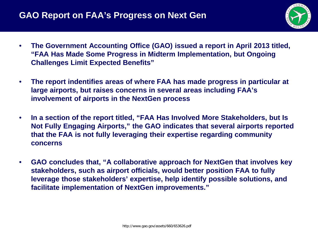

- **The Government Accounting Office (GAO) issued a report in April 2013 titled, "FAA Has Made Some Progress in Midterm Implementation, but Ongoing Challenges Limit Expected Benefits"**
- **The report indentifies areas of where FAA has made progress in particular at large airports, but raises concerns in several areas including FAA's involvement of airports in the NextGen process**
- **In a section of the report titled, "FAA Has Involved More Stakeholders, but Is Not Fully Engaging Airports," the GAO indicates that several airports reported that the FAA is not fully leveraging their expertise regarding community concerns**
- **GAO concludes that, "A collaborative approach for NextGen that involves key stakeholders, such as airport officials, would better position FAA to fully leverage those stakeholders' expertise, help identify possible solutions, and facilitate implementation of NextGen improvements."**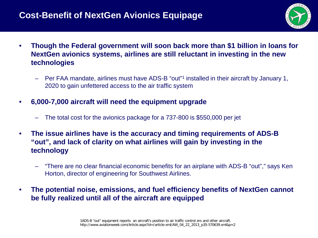## **Cost-Benefit of NextGen Avionics Equipage**



- **Though the Federal government will soon back more than \$1 billion in loans for NextGen avionics systems, airlines are still reluctant in investing in the new technologies**
	- Per FAA mandate, airlines must have ADS-B "out"1 installed in their aircraft by January 1, 2020 to gain unfettered access to the air traffic system
- **6,000-7,000 aircraft will need the equipment upgrade**
	- The total cost for the avionics package for a 737-800 is \$550,000 per jet
- **The issue airlines have is the accuracy and timing requirements of ADS-B "out", and lack of clarity on what airlines will gain by investing in the technology**
	- "There are no clear financial economic benefits for an airplane with ADS-B "out"," says Ken Horton, director of engineering for Southwest Airlines.
- **The potential noise, emissions, and fuel efficiency benefits of NextGen cannot be fully realized until all of the aircraft are equipped**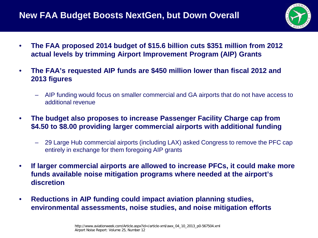

- **The FAA proposed 2014 budget of \$15.6 billion cuts \$351 million from 2012 actual levels by trimming Airport Improvement Program (AIP) Grants**
- **The FAA's requested AIP funds are \$450 million lower than fiscal 2012 and 2013 figures**
	- AIP funding would focus on smaller commercial and GA airports that do not have access to additional revenue
- **The budget also proposes to increase Passenger Facility Charge cap from \$4.50 to \$8.00 providing larger commercial airports with additional funding**
	- 29 Large Hub commercial airports (including LAX) asked Congress to remove the PFC cap entirely in exchange for them foregoing AIP grants
- **If larger commercial airports are allowed to increase PFCs, it could make more funds available noise mitigation programs where needed at the airport's discretion**
- **Reductions in AIP funding could impact aviation planning studies, environmental assessments, noise studies, and noise mitigation efforts**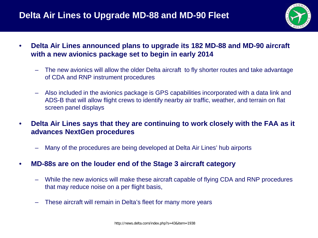

- **Delta Air Lines announced plans to upgrade its 182 MD-88 and MD-90 aircraft with a new avionics package set to begin in early 2014**
	- The new avionics will allow the older Delta aircraft to fly shorter routes and take advantage of CDA and RNP instrument procedures
	- Also included in the avionics package is GPS capabilities incorporated with a data link and ADS-B that will allow flight crews to identify nearby air traffic, weather, and terrain on flat screen panel displays
- **Delta Air Lines says that they are continuing to work closely with the FAA as it advances NextGen procedures**
	- Many of the procedures are being developed at Delta Air Lines' hub airports
- **MD-88s are on the louder end of the Stage 3 aircraft category**
	- While the new avionics will make these aircraft capable of flying CDA and RNP procedures that may reduce noise on a per flight basis,
	- These aircraft will remain in Delta's fleet for many more years